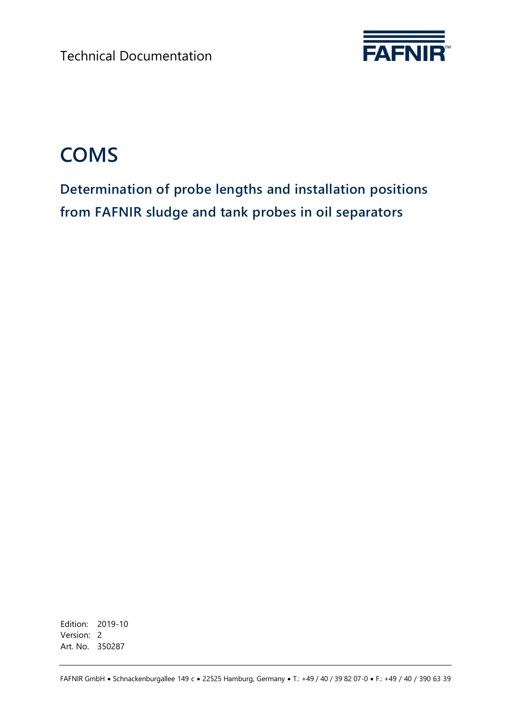Technical Documentation



# **COMS**

**Determination of probe lengths and installation positions from FAFNIR sludge and tank probes in oil separators**

Edition: 2019-10 Version: 2 Art. No. 350287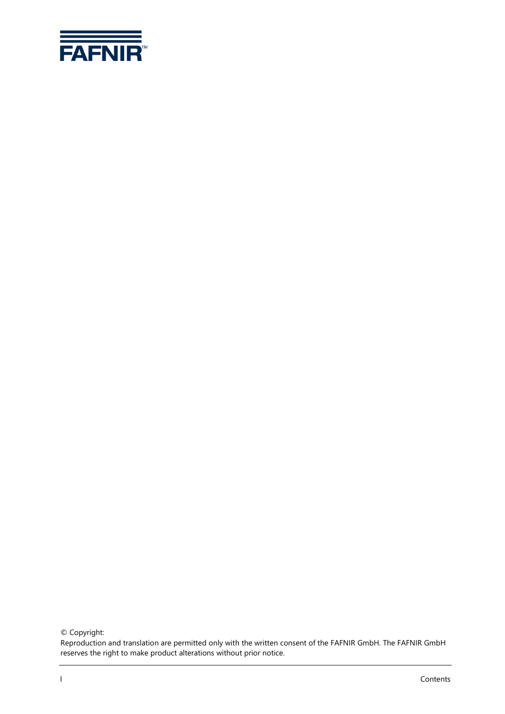

© Copyright:

Reproduction and translation are permitted only with the written consent of the FAFNIR GmbH. The FAFNIR GmbH reserves the right to make product alterations without prior notice.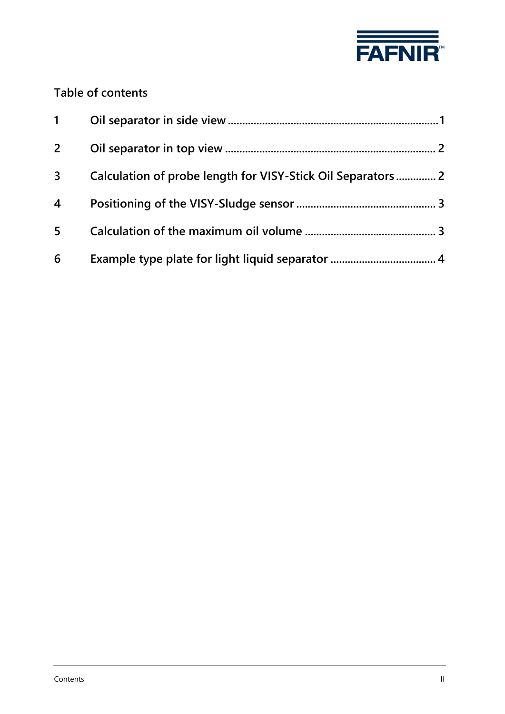

### **Table of contents**

| $1 \quad$      |                                                              |
|----------------|--------------------------------------------------------------|
| $2^{\circ}$    |                                                              |
| 3              | Calculation of probe length for VISY-Stick Oil Separators  2 |
| $\overline{4}$ |                                                              |
| 5              |                                                              |
| 6              |                                                              |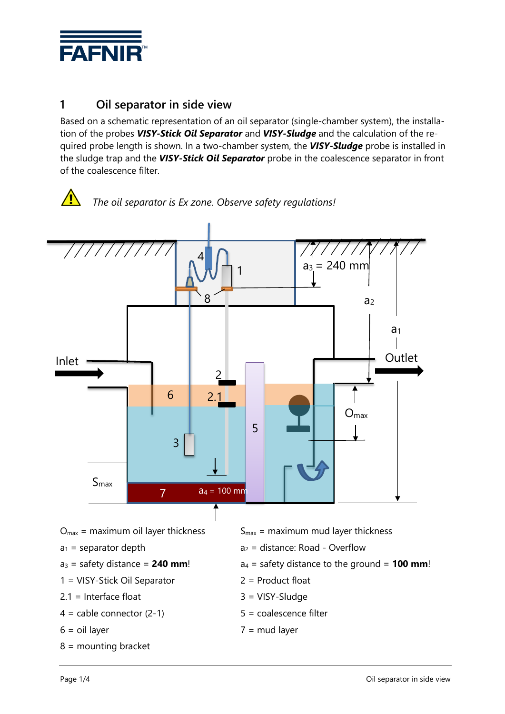

#### <span id="page-3-0"></span>**1 Oil separator in side view**

Based on a schematic representation of an oil separator (single-chamber system), the installation of the probes *VISY-Stick Oil Separator* and *VISY-Sludge* and the calculation of the required probe length is shown. In a two-chamber system, the *VISY-Sludge* probe is installed in the sludge trap and the *VISY-Stick Oil Separator* probe in the coalescence separator in front of the coalescence filter.

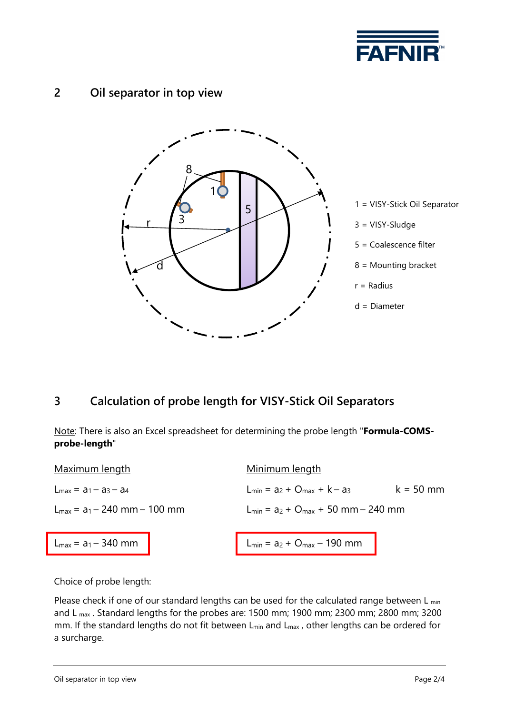

#### <span id="page-4-0"></span>**2 Oil separator in top view**



#### <span id="page-4-1"></span>**3 Calculation of probe length for VISY-Stick Oil Separators**

Note: There is also an Excel spreadsheet for determining the probe length "**Formula-COMSprobe-length**"

| Maximum length                           | Minimum length                                                        |
|------------------------------------------|-----------------------------------------------------------------------|
| $L_{\text{max}} = a_1 - a_3 - a_4$       | $L_{\text{min}} = a_2 + O_{\text{max}} + k - a_3$<br>$k = 50$ mm      |
| $L_{\text{max}} = a_1 - 240$ mm - 100 mm | $L_{min} = a_2 + O_{max} + 50$ mm – 240 mm                            |
| $L_{\text{max}} = a_1 - 340 \text{ mm}$  | $\big $ L <sub>min</sub> = a <sub>2</sub> + O <sub>max</sub> – 190 mm |
|                                          |                                                                       |

Choice of probe length:

Please check if one of our standard lengths can be used for the calculated range between  $L_{min}$ and L max . Standard lengths for the probes are: 1500 mm; 1900 mm; 2300 mm; 2800 mm; 3200 mm. If the standard lengths do not fit between L<sub>min</sub> and L<sub>max</sub>, other lengths can be ordered for a surcharge.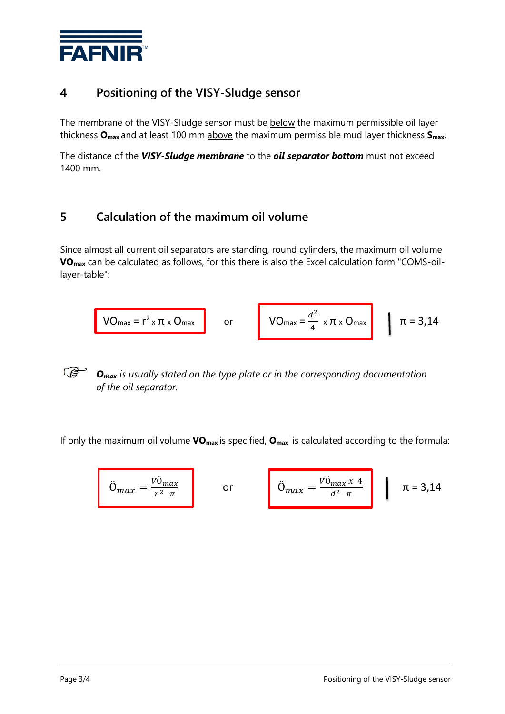

#### <span id="page-5-0"></span>**4 Positioning of the VISY-Sludge sensor**

The membrane of the VISY-Sludge sensor must be below the maximum permissible oil layer thickness **Omax** and at least 100 mm above the maximum permissible mud layer thickness **Smax**.

The distance of the *VISY-Sludge membrane* to the *oil separator bottom* must not exceed 1400 mm.

#### <span id="page-5-1"></span>**5 Calculation of the maximum oil volume**

Since almost all current oil separators are standing, round cylinders, the maximum oil volume **VOmax** can be calculated as follows, for this there is also the Excel calculation form "COMS-oillayer-table":

$$
VO_{max} = r^2 \times \pi \times O_{max}
$$
 or 
$$
VO_{max} = \frac{d^2}{4} \times \pi \times O_{max}
$$
  $\pi = 3,14$ 

*Omax is usually stated on the type plate or in the corresponding documentation of the oil separator.*

If only the maximum oil volume **VOmax** is specified, **Omax** is calculated according to the formula:

$$
\ddot{O}_{max} = \frac{V\ddot{O}_{max}}{r^2 \pi} \qquad \text{or} \qquad \ddot{O}_{max} = \frac{V\ddot{O}_{max} x 4}{d^2 \pi} \qquad \pi = 3.14
$$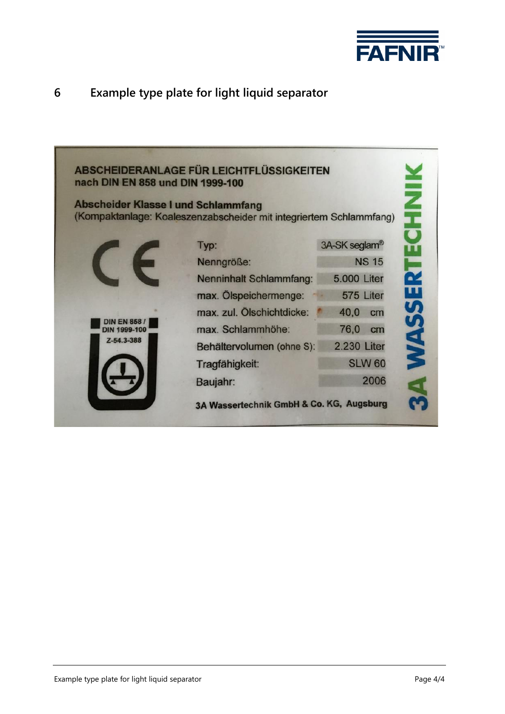

## <span id="page-6-0"></span>**6 Example type plate for light liquid separator**

| nach DIN EN 858 und DIN 1999-100<br><b>Abscheider Klasse I und Schlammfang</b> | ABSCHEIDERANLAGE FÜR LEICHTFLÜSSIGKEITEN<br>(Kompaktanlage: Koaleszenzabscheider mit integriertem Schlammfang) | <b>WASSERTECHNI</b> |
|--------------------------------------------------------------------------------|----------------------------------------------------------------------------------------------------------------|---------------------|
|                                                                                | Typ:                                                                                                           | 3A-SK seglam®       |
|                                                                                | Nenngröße:                                                                                                     | <b>NS 15</b>        |
|                                                                                | <b>Nenninhalt Schlammfang:</b>                                                                                 | <b>5.000 Liter</b>  |
|                                                                                | max. Ölspeichermenge:                                                                                          | 575 Liter           |
|                                                                                | max. zul. Ölschichtdicke:                                                                                      | 40,0<br>cm          |
| <b>DIN EN 858/</b><br><b>DIN 1999-100</b>                                      | max. Schlammhöhe:                                                                                              | 76,0<br>cm          |
| Z-54.3-388                                                                     | Behältervolumen (ohne S):                                                                                      | 2.230 Liter         |
|                                                                                | Tragfähigkeit:                                                                                                 | <b>SLW 60</b>       |
|                                                                                | Baujahr:                                                                                                       | 2006                |
|                                                                                | 3A Wassertechnik GmbH & Co. KG, Augsburg                                                                       |                     |